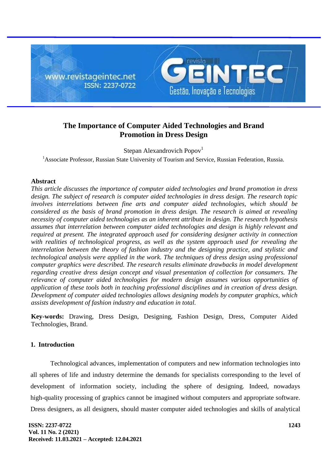

# **The Importance of Computer Aided Technologies and Brand Promotion in Dress Design**

Stepan Alexandrovich Popov<sup>1</sup>

<sup>1</sup> Associate Professor, Russian State University of Tourism and Service, Russian Federation, Russia.

## **Abstract**

*This article discusses the importance of computer aided technologies and brand promotion in dress design. The subject of research is computer aided technologies in dress design. The research topic involves interrelations between fine arts and computer aided technologies, which should be considered as the basis of brand promotion in dress design. The research is aimed at revealing necessity of computer aided technologies as an inherent attribute in design. The research hypothesis assumes that interrelation between computer aided technologies and design is highly relevant and required at present. The integrated approach used for considering designer activity in connection with realities of technological progress, as well as the system approach used for revealing the interrelation between the theory of fashion industry and the designing practice, and stylistic and technological analysis were applied in the work. The techniques of dress design using professional computer graphics were described. The research results eliminate drawbacks in model development regarding creative dress design concept and visual presentation of collection for consumers. The relevance of computer aided technologies for modern design assumes various opportunities of application of these tools both in teaching professional disciplines and in creation of dress design. Development of computer aided technologies allows designing models by computer graphics, which assists development of fashion industry and education in total.*

**Key-words:** Drawing, Dress Design, Designing, Fashion Design, Dress, Computer Aided Technologies, Brand.

# **1. Introduction**

Technological advances, implementation of computers and new information technologies into all spheres of life and industry determine the demands for specialists corresponding to the level of development of information society, including the sphere of designing. Indeed, nowadays high-quality processing of graphics cannot be imagined without computers and appropriate software. Dress designers, as all designers, should master computer aided technologies and skills of analytical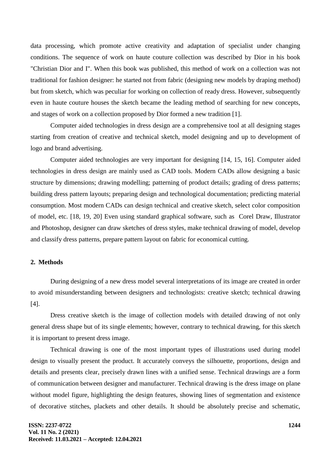data processing, which promote active creativity and adaptation of specialist under changing conditions. The sequence of work on haute couture collection was described by Dior in his book "Christian Dior and I". When this book was published, this method of work on a collection was not traditional for fashion designer: he started not from fabric (designing new models by draping method) but from sketch, which was peculiar for working on collection of ready dress. However, subsequently even in haute couture houses the sketch became the leading method of searching for new concepts, and stages of work on a collection proposed by Dior formed a new tradition [1].

Computer aided technologies in dress design are a comprehensive tool at all designing stages starting from creation of creative and technical sketch, model designing and up to development of logo and brand advertising.

Computer aided technologies are very important for designing [14, 15, 16]. Computer aided technologies in dress design are mainly used as CAD tools. Modern CADs allow designing a basic structure by dimensions; drawing modelling; patterning of product details; grading of dress patterns; building dress pattern layouts; preparing design and technological documentation; predicting material consumption. Most modern CADs can design technical and creative sketch, select color composition of model, etc. [18, 19, 20] Even using standard graphical software, such as Corel Draw, Illustrator and Photoshop, designer can draw sketches of dress styles, make technical drawing of model, develop and classify dress patterns, prepare pattern layout on fabric for economical cutting.

## **2. Methods**

During designing of a new dress model several interpretations of its image are created in order to avoid misunderstanding between designers and technologists: creative sketch; technical drawing [4].

Dress creative sketch is the image of collection models with detailed drawing of not only general dress shape but of its single elements; however, contrary to technical drawing, for this sketch it is important to present dress image.

Technical drawing is one of the most important types of illustrations used during model design to visually present the product. It accurately conveys the silhouette, proportions, design and details and presents clear, precisely drawn lines with a unified sense. Technical drawings are a form of communication between designer and manufacturer. Technical drawing is the dress image on plane without model figure, highlighting the design features, showing lines of segmentation and existence of decorative stitches, plackets and other details. It should be absolutely precise and schematic,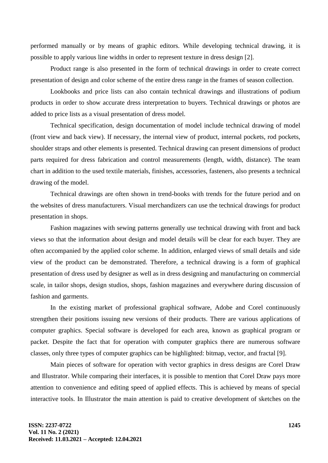performed manually or by means of graphic editors. While developing technical drawing, it is possible to apply various line widths in order to represent texture in dress design [2].

Product range is also presented in the form of technical drawings in order to create correct presentation of design and color scheme of the entire dress range in the frames of season collection.

Lookbooks and price lists can also contain technical drawings and illustrations of podium products in order to show accurate dress interpretation to buyers. Technical drawings or photos are added to price lists as a visual presentation of dress model.

Technical specification, design documentation of model include technical drawing of model (front view and back view). If necessary, the internal view of product, internal pockets, rod pockets, shoulder straps and other elements is presented. Technical drawing can present dimensions of product parts required for dress fabrication and control measurements (length, width, distance). The team chart in addition to the used textile materials, finishes, accessories, fasteners, also presents a technical drawing of the model.

Technical drawings are often shown in trend-books with trends for the future period and on the websites of dress manufacturers. Visual merchandizers can use the technical drawings for product presentation in shops.

Fashion magazines with sewing patterns generally use technical drawing with front and back views so that the information about design and model details will be clear for each buyer. They are often accompanied by the applied color scheme. In addition, enlarged views of small details and side view of the product can be demonstrated. Therefore, a technical drawing is a form of graphical presentation of dress used by designer as well as in dress designing and manufacturing on commercial scale, in tailor shops, design studios, shops, fashion magazines and everywhere during discussion of fashion and garments.

In the existing market of professional graphical software, Adobe and Corel continuously strengthen their positions issuing new versions of their products. There are various applications of computer graphics. Special software is developed for each area, known as graphical program or packet. Despite the fact that for operation with computer graphics there are numerous software classes, only three types of computer graphics can be highlighted: bitmap, vector, and fractal [9].

Main pieces of software for operation with vector graphics in dress designs are Corel Draw and Illustrator. While comparing their interfaces, it is possible to mention that Corel Draw pays more attention to convenience and editing speed of applied effects. This is achieved by means of special interactive tools. In Illustrator the main attention is paid to creative development of sketches on the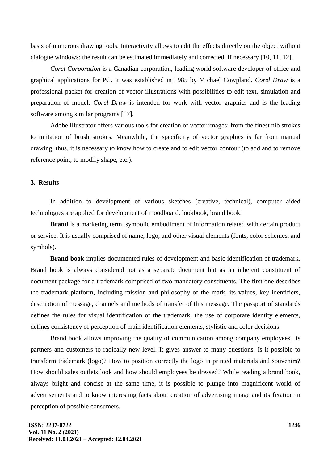basis of numerous drawing tools. Interactivity allows to edit the effects directly on the object without dialogue windows: the result can be estimated immediately and corrected, if necessary [10, 11, 12].

*Corel Corporation* is a Canadian corporation, leading world software developer of office and graphical applications for PC. It was established in 1985 by Michael Cowpland. *Corel Draw* is a professional packet for creation of vector illustrations with possibilities to edit text, simulation and preparation of model. *Corel Draw* is intended for work with vector graphics and is the leading software among similar programs [17].

Adobe Illustrator offers various tools for creation of vector images: from the finest nib strokes to imitation of brush strokes. Meanwhile, the specificity of vector graphics is far from manual drawing; thus, it is necessary to know how to create and to edit vector contour (to add and to remove reference point, to modify shape, etc.).

#### **3. Results**

In addition to development of various sketches (creative, technical), computer aided technologies are applied for development of moodboard, lookbook, brand book.

**Brand** is a marketing term, symbolic embodiment of information related with certain product or service. It is usually comprised of name, logo, and other visual elements (fonts, color schemes, and symbols).

**Brand book** implies documented rules of development and basic identification of trademark. Brand book is always considered not as a separate document but as an inherent constituent of document package for a trademark comprised of two mandatory constituents. The first one describes the trademark platform, including mission and philosophy of the mark, its values, key identifiers, description of message, channels and methods of transfer of this message. The passport of standards defines the rules for visual identification of the trademark, the use of corporate identity elements, defines consistency of perception of main identification elements, stylistic and color decisions.

Brand book allows improving the quality of communication among company employees, its partners and customers to radically new level. It gives answer to many questions. Is it possible to transform trademark (logo)? How to position correctly the logo in printed materials and souvenirs? How should sales outlets look and how should employees be dressed? While reading a brand book, always bright and concise at the same time, it is possible to plunge into magnificent world of advertisements and to know interesting facts about creation of advertising image and its fixation in perception of possible consumers.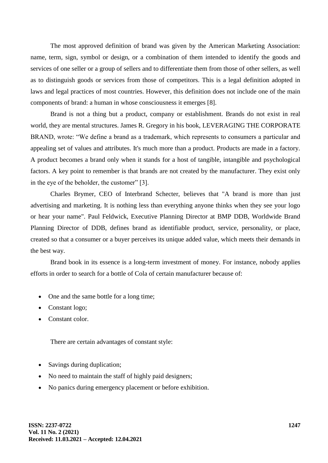The most approved definition of brand was given by the American Marketing Association: name, term, sign, symbol or design, or a combination of them intended to identify the goods and services of one seller or a group of sellers and to differentiate them from those of other sellers, as well as to distinguish goods or services from those of competitors. This is a legal definition adopted in laws and legal practices of most countries. However, this definition does not include one of the main components of brand: a human in whose consciousness it emerges [8].

Brand is not a thing but a product, company or establishment. Brands do not exist in real world, they are mental structures. James R. Gregory in his book, LEVERAGING THE CORPORATE BRAND, wrote: "We define a brand as a trademark, which represents to consumers a particular and appealing set of values and attributes. It's much more than a product. Products are made in a factory. A product becomes a brand only when it stands for a host of tangible, intangible and psychological factors. A key point to remember is that brands are not created by the manufacturer. They exist only in the eye of the beholder, the customer" [3].

Charles Brymer, CEO of Interbrand Schecter, believes that "A brand is more than just advertising and marketing. It is nothing less than everything anyone thinks when they see your logo or hear your name". Paul Feldwick, Executive Planning Director at BMP DDB, Worldwide Brand Planning Director of DDB, defines brand as identifiable product, service, personality, or place, created so that a consumer or a buyer perceives its unique added value, which meets their demands in the best way.

Brand book in its essence is a long-term investment of money. For instance, nobody applies efforts in order to search for a bottle of Cola of certain manufacturer because of:

- One and the same bottle for a long time;
- Constant logo;
- Constant color.

There are certain advantages of constant style:

- Savings during duplication;
- No need to maintain the staff of highly paid designers;
- No panics during emergency placement or before exhibition.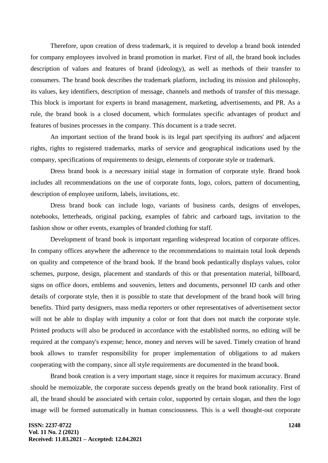Therefore, upon creation of dress trademark, it is required to develop a brand book intended for company employees involved in brand promotion in market. First of all, the brand book includes description of values and features of brand (ideology), as well as methods of their transfer to consumers. The brand book describes the trademark platform, including its mission and philosophy, its values, key identifiers, description of message, channels and methods of transfer of this message. This block is important for experts in brand management, marketing, advertisements, and PR. As a rule, the brand book is a closed document, which formulates specific advantages of product and features of busines processes in the company. This document is a trade secret.

An important section of the brand book is its legal part specifying its authors' and adjacent rights, rights to registered trademarks, marks of service and geographical indications used by the company, specifications of requirements to design, elements of corporate style or trademark.

Dress brand book is a necessary initial stage in formation of corporate style. Brand book includes all recommendations on the use of corporate fonts, logo, colors, pattern of documenting, description of employee uniform, labels, invitations, etc.

Dress brand book can include logo, variants of business cards, designs of envelopes, notebooks, letterheads, original packing, examples of fabric and carboard tags, invitation to the fashion show or other events, examples of branded clothing for staff.

Development of brand book is important regarding widespread location of corporate offices. In company offices anywhere the adherence to the recommendations to maintain total look depends on quality and competence of the brand book. If the brand book pedantically displays values, color schemes, purpose, design, placement and standards of this or that presentation material, billboard, signs on office doors, emblems and souvenirs, letters and documents, personnel ID cards and other details of corporate style, then it is possible to state that development of the brand book will bring benefits. Third party designers, mass media reporters or other representatives of advertisement sector will not be able to display with impunity a color or font that does not match the corporate style. Printed products will also be produced in accordance with the established norms, no editing will be required at the company's expense; hence, money and nerves will be saved. Timely creation of brand book allows to transfer responsibility for proper implementation of obligations to ad makers cooperating with the company, since all style requirements are documented in the brand book.

Brand book creation is a very important stage, since it requires for maximum accuracy. Brand should be memoizable, the corporate success depends greatly on the brand book rationality. First of all, the brand should be associated with certain color, supported by certain slogan, and then the logo image will be formed automatically in human consciousness. This is a well thought-out corporate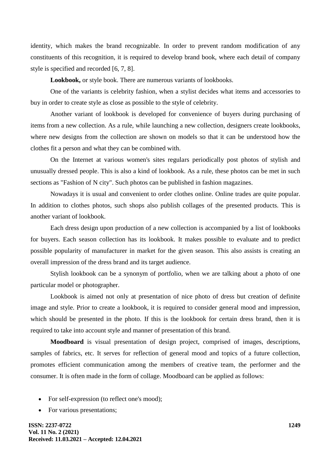identity, which makes the brand recognizable. In order to prevent random modification of any constituents of this recognition, it is required to develop brand book, where each detail of company style is specified and recorded [6, 7, 8].

**Lookbook,** or style book. There are numerous variants of lookbooks.

One of the variants is celebrity fashion, when a stylist decides what items and accessories to buy in order to create style as close as possible to the style of celebrity.

Another variant of lookbook is developed for convenience of buyers during purchasing of items from a new collection. As a rule, while launching a new collection, designers create lookbooks, where new designs from the collection are shown on models so that it can be understood how the clothes fit a person and what they can be combined with.

On the Internet at various women's sites regulars periodically post photos of stylish and unusually dressed people. This is also a kind of lookbook. As a rule, these photos can be met in such sections as "Fashion of N city". Such photos can be published in fashion magazines.

Nowadays it is usual and convenient to order clothes online. Online trades are quite popular. In addition to clothes photos, such shops also publish collages of the presented products. This is another variant of lookbook.

Each dress design upon production of a new collection is accompanied by a list of lookbooks for buyers. Each season collection has its lookbook. It makes possible to evaluate and to predict possible popularity of manufacturer in market for the given season. This also assists is creating an overall impression of the dress brand and its target audience.

Stylish lookbook can be a synonym of portfolio, when we are talking about a photo of one particular model or photographer.

Lookbook is aimed not only at presentation of nice photo of dress but creation of definite image and style. Prior to create a lookbook, it is required to consider general mood and impression, which should be presented in the photo. If this is the lookbook for certain dress brand, then it is required to take into account style and manner of presentation of this brand.

**Moodboard** is visual presentation of design project, comprised of images, descriptions, samples of fabrics, etc. It serves for reflection of general mood and topics of a future collection, promotes efficient communication among the members of creative team, the performer and the consumer. It is often made in the form of collage. Moodboard can be applied as follows:

- For self-expression (to reflect one's mood);
- For various presentations;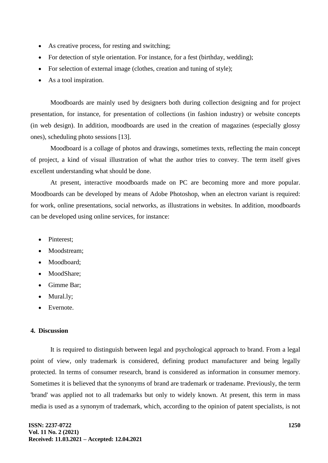- As creative process, for resting and switching;
- For detection of style orientation. For instance, for a fest (birthday, wedding);
- For selection of external image (clothes, creation and tuning of style);
- As a tool inspiration.

Moodboards are mainly used by designers both during collection designing and for project presentation, for instance, for presentation of collections (in fashion industry) or website concepts (in web design). In addition, moodboards are used in the creation of magazines (especially glossy ones), scheduling photo sessions [13].

Moodboard is a collage of photos and drawings, sometimes texts, reflecting the main concept of project, a kind of visual illustration of what the author tries to convey. The term itself gives excellent understanding what should be done.

At present, interactive moodboards made on PC are becoming more and more popular. Moodboards can be developed by means of Adobe Photoshop, when an electron variant is required: for work, online presentations, social networks, as illustrations in websites. In addition, moodboards can be developed using online services, for instance:

- Pinterest:
- Moodstream:
- Moodboard:
- MoodShare;
- Gimme Bar;
- Mural.ly;
- Evernote.

# **4. Discussion**

It is required to distinguish between legal and psychological approach to brand. From a legal point of view, only trademark is considered, defining product manufacturer and being legally protected. In terms of consumer research, brand is considered as information in consumer memory. Sometimes it is believed that the synonyms of brand are trademark or tradename. Previously, the term 'brand' was applied not to all trademarks but only to widely known. At present, this term in mass media is used as a synonym of trademark, which, according to the opinion of patent specialists, is not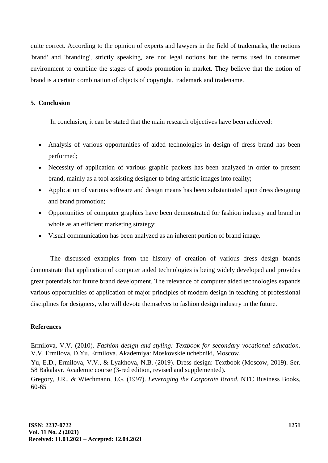quite correct. According to the opinion of experts and lawyers in the field of trademarks, the notions 'brand' and 'branding', strictly speaking, are not legal notions but the terms used in consumer environment to combine the stages of goods promotion in market. They believe that the notion of brand is a certain combination of objects of copyright, trademark and tradename.

# **5. Conclusion**

In conclusion, it can be stated that the main research objectives have been achieved:

- Analysis of various opportunities of aided technologies in design of dress brand has been performed;
- Necessity of application of various graphic packets has been analyzed in order to present brand, mainly as a tool assisting designer to bring artistic images into reality;
- Application of various software and design means has been substantiated upon dress designing and brand promotion;
- Opportunities of computer graphics have been demonstrated for fashion industry and brand in whole as an efficient marketing strategy;
- Visual communication has been analyzed as an inherent portion of brand image.

The discussed examples from the history of creation of various dress design brands demonstrate that application of computer aided technologies is being widely developed and provides great potentials for future brand development. The relevance of computer aided technologies expands various opportunities of application of major principles of modern design in teaching of professional disciplines for designers, who will devote themselves to fashion design industry in the future.

### **References**

Ermilova, V.V. (2010). *Fashion design and styling: Textbook for secondary vocational education.* V.V. Ermilova, D.Yu. Ermilova. Akademiya: Moskovskie uchebniki, Moscow. Yu, E.D., Ermilova, V.V., & Lyakhova, N.B. (2019). Dress design: Textbook (Moscow, 2019). Ser.

58 Bakalavr. Academic course (3-red edition, revised and supplemented).

Gregory, J.R., & Wiechmann, J.G. (1997). *Leveraging the Corporate Brand.* NTC Business Books, 60-65